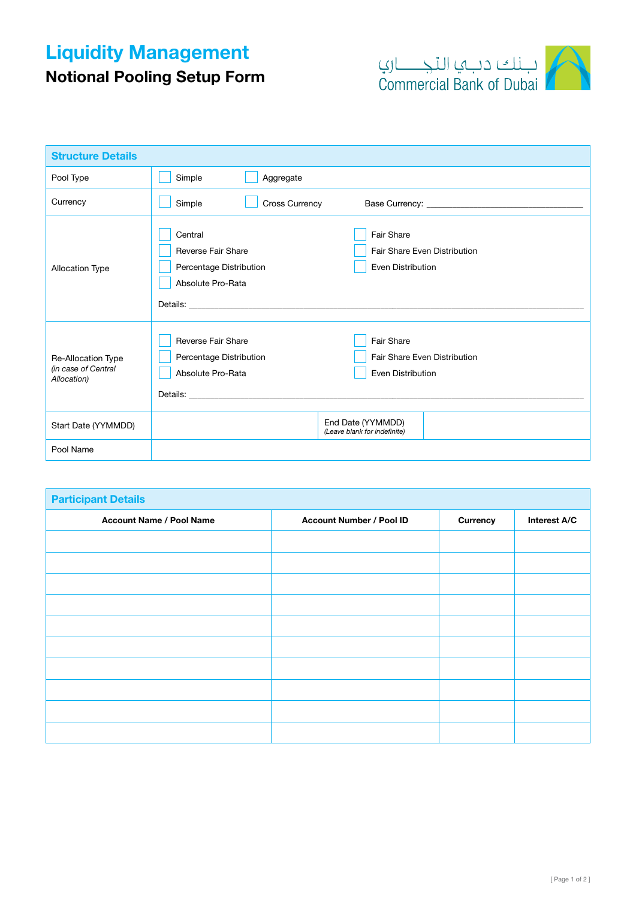## Liquidity Management



Notional Pooling Setup Form

| <b>Structure Details</b>                                 |                                                                                                                                                                                                                                                                                                                                                                                |  |  |  |
|----------------------------------------------------------|--------------------------------------------------------------------------------------------------------------------------------------------------------------------------------------------------------------------------------------------------------------------------------------------------------------------------------------------------------------------------------|--|--|--|
| Pool Type                                                | Simple<br>Aggregate                                                                                                                                                                                                                                                                                                                                                            |  |  |  |
| Currency                                                 | Simple<br><b>Cross Currency</b>                                                                                                                                                                                                                                                                                                                                                |  |  |  |
| <b>Allocation Type</b>                                   | Fair Share<br>Central<br><b>Reverse Fair Share</b><br>Fair Share Even Distribution<br>Even Distribution<br>Percentage Distribution<br>Absolute Pro-Rata<br><b>Details:</b> <u>Details:</u> <b>Containers Containers Containers Containers Containers Containers Containers Containers</b>                                                                                      |  |  |  |
| Re-Allocation Type<br>(in case of Central<br>Allocation) | Reverse Fair Share<br>Fair Share<br><b>Fair Share Even Distribution</b><br>Percentage Distribution<br>Absolute Pro-Rata<br>Even Distribution<br>Details: the contract of the contract of the contract of the contract of the contract of the contract of the contract of the contract of the contract of the contract of the contract of the contract of the contract of the c |  |  |  |
| Start Date (YYMMDD)                                      | End Date (YYMMDD)<br>(Leave blank for indefinite)                                                                                                                                                                                                                                                                                                                              |  |  |  |
| Pool Name                                                |                                                                                                                                                                                                                                                                                                                                                                                |  |  |  |

| <b>Participant Details</b>      |                                 |          |              |  |  |  |
|---------------------------------|---------------------------------|----------|--------------|--|--|--|
| <b>Account Name / Pool Name</b> | <b>Account Number / Pool ID</b> | Currency | Interest A/C |  |  |  |
|                                 |                                 |          |              |  |  |  |
|                                 |                                 |          |              |  |  |  |
|                                 |                                 |          |              |  |  |  |
|                                 |                                 |          |              |  |  |  |
|                                 |                                 |          |              |  |  |  |
|                                 |                                 |          |              |  |  |  |
|                                 |                                 |          |              |  |  |  |
|                                 |                                 |          |              |  |  |  |
|                                 |                                 |          |              |  |  |  |
|                                 |                                 |          |              |  |  |  |